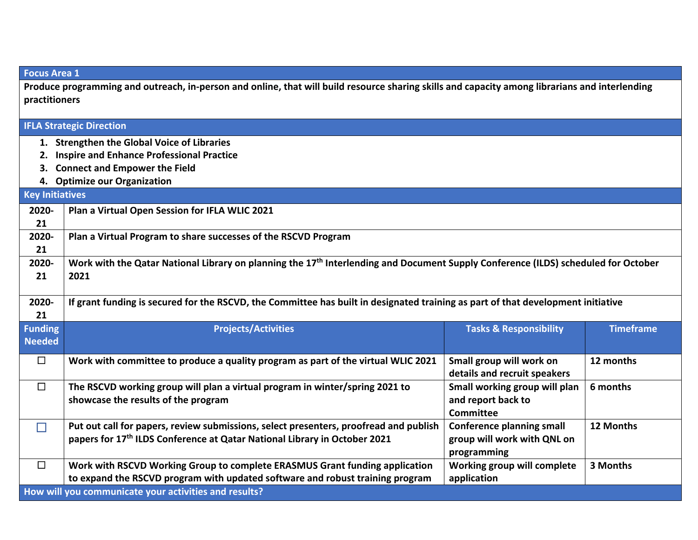| <b>Focus Area 1</b>                                                                                                                            |                                                                                                                                                |                                   |                  |  |  |  |
|------------------------------------------------------------------------------------------------------------------------------------------------|------------------------------------------------------------------------------------------------------------------------------------------------|-----------------------------------|------------------|--|--|--|
| Produce programming and outreach, in-person and online, that will build resource sharing skills and capacity among librarians and interlending |                                                                                                                                                |                                   |                  |  |  |  |
| practitioners                                                                                                                                  |                                                                                                                                                |                                   |                  |  |  |  |
| <b>IFLA Strategic Direction</b>                                                                                                                |                                                                                                                                                |                                   |                  |  |  |  |
|                                                                                                                                                |                                                                                                                                                |                                   |                  |  |  |  |
| 1. Strengthen the Global Voice of Libraries                                                                                                    |                                                                                                                                                |                                   |                  |  |  |  |
| 2. Inspire and Enhance Professional Practice                                                                                                   |                                                                                                                                                |                                   |                  |  |  |  |
| <b>Connect and Empower the Field</b>                                                                                                           |                                                                                                                                                |                                   |                  |  |  |  |
| <b>Key Initiatives</b>                                                                                                                         | 4. Optimize our Organization                                                                                                                   |                                   |                  |  |  |  |
|                                                                                                                                                |                                                                                                                                                |                                   |                  |  |  |  |
| 2020-                                                                                                                                          | Plan a Virtual Open Session for IFLA WLIC 2021                                                                                                 |                                   |                  |  |  |  |
| 21                                                                                                                                             |                                                                                                                                                |                                   |                  |  |  |  |
| 2020-<br>21                                                                                                                                    | Plan a Virtual Program to share successes of the RSCVD Program                                                                                 |                                   |                  |  |  |  |
| 2020-                                                                                                                                          | Work with the Qatar National Library on planning the 17 <sup>th</sup> Interlending and Document Supply Conference (ILDS) scheduled for October |                                   |                  |  |  |  |
| 21                                                                                                                                             | 2021                                                                                                                                           |                                   |                  |  |  |  |
|                                                                                                                                                |                                                                                                                                                |                                   |                  |  |  |  |
| 2020-                                                                                                                                          | If grant funding is secured for the RSCVD, the Committee has built in designated training as part of that development initiative               |                                   |                  |  |  |  |
| 21                                                                                                                                             |                                                                                                                                                |                                   |                  |  |  |  |
| <b>Funding</b>                                                                                                                                 | <b>Projects/Activities</b>                                                                                                                     | <b>Tasks &amp; Responsibility</b> | <b>Timeframe</b> |  |  |  |
| <b>Needed</b>                                                                                                                                  |                                                                                                                                                |                                   |                  |  |  |  |
| $\Box$                                                                                                                                         | Work with committee to produce a quality program as part of the virtual WLIC 2021                                                              | Small group will work on          | 12 months        |  |  |  |
|                                                                                                                                                |                                                                                                                                                | details and recruit speakers      |                  |  |  |  |
| $\Box$                                                                                                                                         | The RSCVD working group will plan a virtual program in winter/spring 2021 to                                                                   | Small working group will plan     | 6 months         |  |  |  |
|                                                                                                                                                | showcase the results of the program                                                                                                            | and report back to                |                  |  |  |  |
|                                                                                                                                                |                                                                                                                                                | <b>Committee</b>                  |                  |  |  |  |
| $\Box$                                                                                                                                         | Put out call for papers, review submissions, select presenters, proofread and publish                                                          | <b>Conference planning small</b>  | 12 Months        |  |  |  |
|                                                                                                                                                | papers for 17th ILDS Conference at Qatar National Library in October 2021                                                                      | group will work with QNL on       |                  |  |  |  |
|                                                                                                                                                |                                                                                                                                                | programming                       |                  |  |  |  |
| $\Box$                                                                                                                                         | Work with RSCVD Working Group to complete ERASMUS Grant funding application                                                                    | Working group will complete       | 3 Months         |  |  |  |
|                                                                                                                                                | to expand the RSCVD program with updated software and robust training program                                                                  | application                       |                  |  |  |  |
|                                                                                                                                                | How will you communicate your activities and results?                                                                                          |                                   |                  |  |  |  |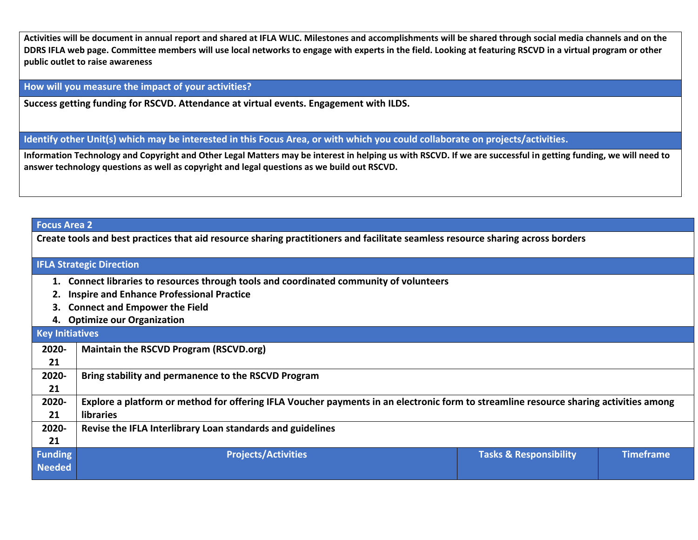**Activities will be document in annual report and shared at IFLA WLIC. Milestones and accomplishments will be shared through social media channels and on the DDRS IFLA web page. Committee members will use local networks to engage with experts in the field. Looking at featuring RSCVD in a virtual program or other public outlet to raise awareness**

**How will you measure the impact of your activities?** 

**Success getting funding for RSCVD. Attendance at virtual events. Engagement with ILDS.**

**Identify other Unit(s) which may be interested in this Focus Area, or with which you could collaborate on projects/activities.** 

**Information Technology and Copyright and Other Legal Matters may be interest in helping us with RSCVD. If we are successful in getting funding, we will need to answer technology questions as well as copyright and legal questions as we build out RSCVD.**

## **Focus Area 2**

**Create tools and best practices that aid resource sharing practitioners and facilitate seamless resource sharing across borders**

## **IFLA Strategic Direction**

- **1. Connect libraries to resources through tools and coordinated community of volunteers**
- **2. Inspire and Enhance Professional Practice**
- **3. Connect and Empower the Field**
- **4. Optimize our Organization**

| <b>Key Initiatives</b> |                                                                                                                                       |                                   |                  |  |  |
|------------------------|---------------------------------------------------------------------------------------------------------------------------------------|-----------------------------------|------------------|--|--|
| 2020-                  | Maintain the RSCVD Program (RSCVD.org)                                                                                                |                                   |                  |  |  |
| 21                     |                                                                                                                                       |                                   |                  |  |  |
| 2020-                  | Bring stability and permanence to the RSCVD Program                                                                                   |                                   |                  |  |  |
| 21                     |                                                                                                                                       |                                   |                  |  |  |
| 2020-                  | Explore a platform or method for offering IFLA Voucher payments in an electronic form to streamline resource sharing activities among |                                   |                  |  |  |
| 21                     | <b>libraries</b>                                                                                                                      |                                   |                  |  |  |
| 2020-                  | Revise the IFLA Interlibrary Loan standards and guidelines                                                                            |                                   |                  |  |  |
| 21                     |                                                                                                                                       |                                   |                  |  |  |
| <b>Funding</b>         | <b>Projects/Activities</b>                                                                                                            | <b>Tasks &amp; Responsibility</b> | <b>Timeframe</b> |  |  |
| <b>Needed</b>          |                                                                                                                                       |                                   |                  |  |  |
|                        |                                                                                                                                       |                                   |                  |  |  |